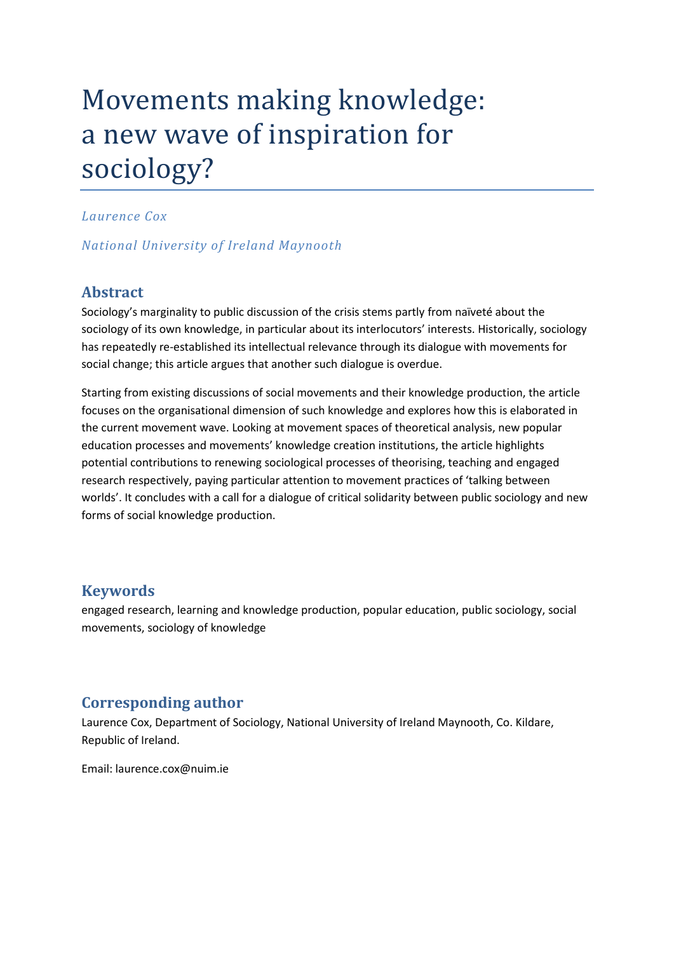# Movements making knowledge: a new wave of inspiration for sociology?

#### *Laurence Cox*

*National University of Ireland Maynooth*

## **Abstract**

Sociology's marginality to public discussion of the crisis stems partly from naïveté about the sociology of its own knowledge, in particular about its interlocutors' interests. Historically, sociology has repeatedly re-established its intellectual relevance through its dialogue with movements for social change; this article argues that another such dialogue is overdue.

Starting from existing discussions of social movements and their knowledge production, the article focuses on the organisational dimension of such knowledge and explores how this is elaborated in the current movement wave. Looking at movement spaces of theoretical analysis, new popular education processes and movements' knowledge creation institutions, the article highlights potential contributions to renewing sociological processes of theorising, teaching and engaged research respectively, paying particular attention to movement practices of 'talking between worlds'. It concludes with a call for a dialogue of critical solidarity between public sociology and new forms of social knowledge production.

## **Keywords**

engaged research, learning and knowledge production, popular education, public sociology, social movements, sociology of knowledge

# **Corresponding author**

Laurence Cox, Department of Sociology, National University of Ireland Maynooth, Co. Kildare, Republic of Ireland.

Email: laurence.cox@nuim.ie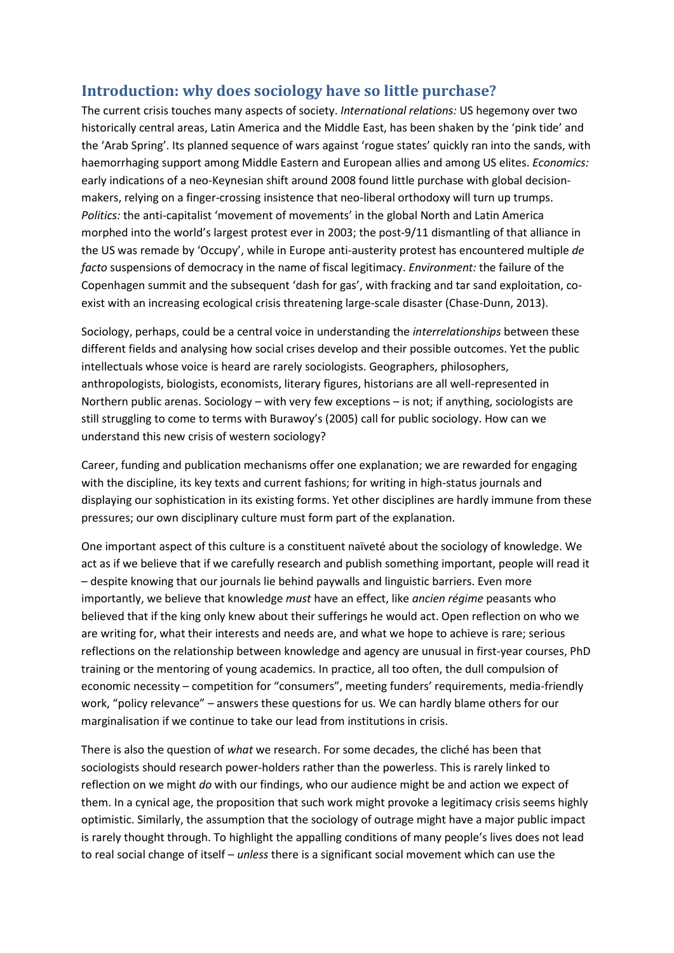## **Introduction: why does sociology have so little purchase?**

The current crisis touches many aspects of society. *International relations:* US hegemony over two historically central areas, Latin America and the Middle East, has been shaken by the 'pink tide' and the 'Arab Spring'. Its planned sequence of wars against 'rogue states' quickly ran into the sands, with haemorrhaging support among Middle Eastern and European allies and among US elites. *Economics:*  early indications of a neo-Keynesian shift around 2008 found little purchase with global decisionmakers, relying on a finger-crossing insistence that neo-liberal orthodoxy will turn up trumps. *Politics:* the anti-capitalist 'movement of movements' in the global North and Latin America morphed into the world's largest protest ever in 2003; the post-9/11 dismantling of that alliance in the US was remade by 'Occupy', while in Europe anti-austerity protest has encountered multiple *de facto* suspensions of democracy in the name of fiscal legitimacy. *Environment:* the failure of the Copenhagen summit and the subsequent 'dash for gas', with fracking and tar sand exploitation, coexist with an increasing ecological crisis threatening large-scale disaster (Chase-Dunn, 2013).

Sociology, perhaps, could be a central voice in understanding the *interrelationships* between these different fields and analysing how social crises develop and their possible outcomes. Yet the public intellectuals whose voice is heard are rarely sociologists. Geographers, philosophers, anthropologists, biologists, economists, literary figures, historians are all well-represented in Northern public arenas. Sociology – with very few exceptions – is not; if anything, sociologists are still struggling to come to terms with Burawoy's (2005) call for public sociology. How can we understand this new crisis of western sociology?

Career, funding and publication mechanisms offer one explanation; we are rewarded for engaging with the discipline, its key texts and current fashions; for writing in high-status journals and displaying our sophistication in its existing forms. Yet other disciplines are hardly immune from these pressures; our own disciplinary culture must form part of the explanation.

One important aspect of this culture is a constituent naïveté about the sociology of knowledge. We act as if we believe that if we carefully research and publish something important, people will read it – despite knowing that our journals lie behind paywalls and linguistic barriers. Even more importantly, we believe that knowledge *must* have an effect, like *ancien régime* peasants who believed that if the king only knew about their sufferings he would act. Open reflection on who we are writing for, what their interests and needs are, and what we hope to achieve is rare; serious reflections on the relationship between knowledge and agency are unusual in first-year courses, PhD training or the mentoring of young academics. In practice, all too often, the dull compulsion of economic necessity – competition for "consumers", meeting funders' requirements, media-friendly work, "policy relevance" – answers these questions for us. We can hardly blame others for our marginalisation if we continue to take our lead from institutions in crisis.

There is also the question of *what* we research. For some decades, the cliché has been that sociologists should research power-holders rather than the powerless. This is rarely linked to reflection on we might *do* with our findings, who our audience might be and action we expect of them. In a cynical age, the proposition that such work might provoke a legitimacy crisis seems highly optimistic. Similarly, the assumption that the sociology of outrage might have a major public impact is rarely thought through. To highlight the appalling conditions of many people's lives does not lead to real social change of itself – *unless* there is a significant social movement which can use the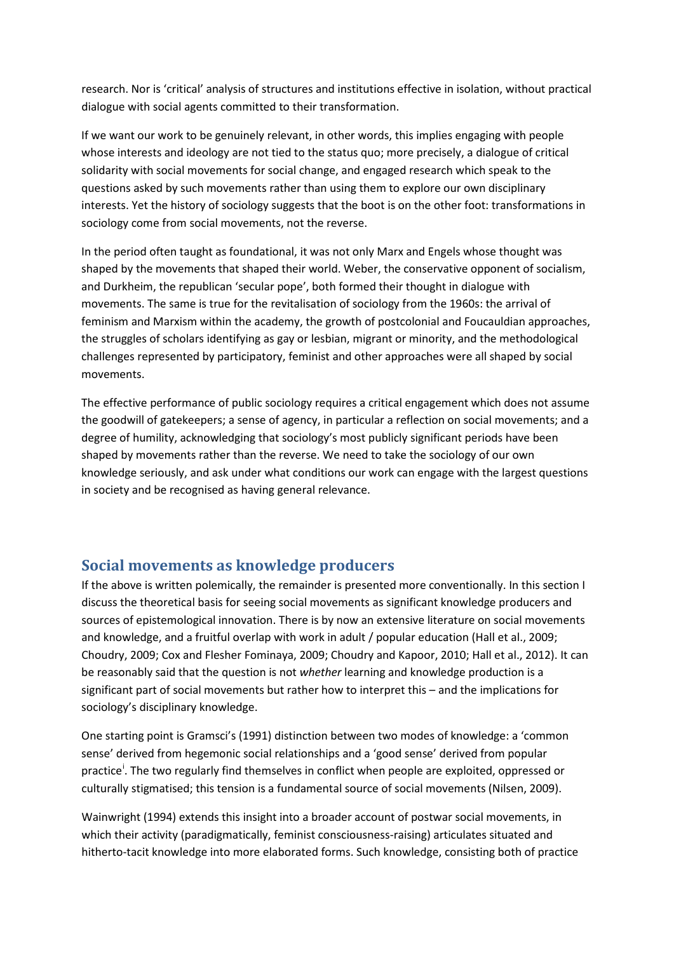research. Nor is 'critical' analysis of structures and institutions effective in isolation, without practical dialogue with social agents committed to their transformation.

If we want our work to be genuinely relevant, in other words, this implies engaging with people whose interests and ideology are not tied to the status quo; more precisely, a dialogue of critical solidarity with social movements for social change, and engaged research which speak to the questions asked by such movements rather than using them to explore our own disciplinary interests. Yet the history of sociology suggests that the boot is on the other foot: transformations in sociology come from social movements, not the reverse.

In the period often taught as foundational, it was not only Marx and Engels whose thought was shaped by the movements that shaped their world. Weber, the conservative opponent of socialism, and Durkheim, the republican 'secular pope', both formed their thought in dialogue with movements. The same is true for the revitalisation of sociology from the 1960s: the arrival of feminism and Marxism within the academy, the growth of postcolonial and Foucauldian approaches, the struggles of scholars identifying as gay or lesbian, migrant or minority, and the methodological challenges represented by participatory, feminist and other approaches were all shaped by social movements.

The effective performance of public sociology requires a critical engagement which does not assume the goodwill of gatekeepers; a sense of agency, in particular a reflection on social movements; and a degree of humility, acknowledging that sociology's most publicly significant periods have been shaped by movements rather than the reverse. We need to take the sociology of our own knowledge seriously, and ask under what conditions our work can engage with the largest questions in society and be recognised as having general relevance.

## **Social movements as knowledge producers**

If the above is written polemically, the remainder is presented more conventionally. In this section I discuss the theoretical basis for seeing social movements as significant knowledge producers and sources of epistemological innovation. There is by now an extensive literature on social movements and knowledge, and a fruitful overlap with work in adult / popular education (Hall et al., 2009; Choudry, 2009; Cox and Flesher Fominaya, 2009; Choudry and Kapoor, 2010; Hall et al., 2012). It can be reasonably said that the question is not *whether* learning and knowledge production is a significant part of social movements but rather how to interpret this – and the implications for sociology's disciplinary knowledge.

One starting point is Gramsci's (1991) distinction between two modes of knowledge: a 'common sense' derived from hegemonic social relationships and a 'good sense' derived from popular pract[i](#page-17-0)ce<sup>1</sup>. The two regularly find themselves in conflict when people are exploited, oppressed or culturally stigmatised; this tension is a fundamental source of social movements (Nilsen, 2009).

Wainwright (1994) extends this insight into a broader account of postwar social movements, in which their activity (paradigmatically, feminist consciousness-raising) articulates situated and hitherto-tacit knowledge into more elaborated forms. Such knowledge, consisting both of practice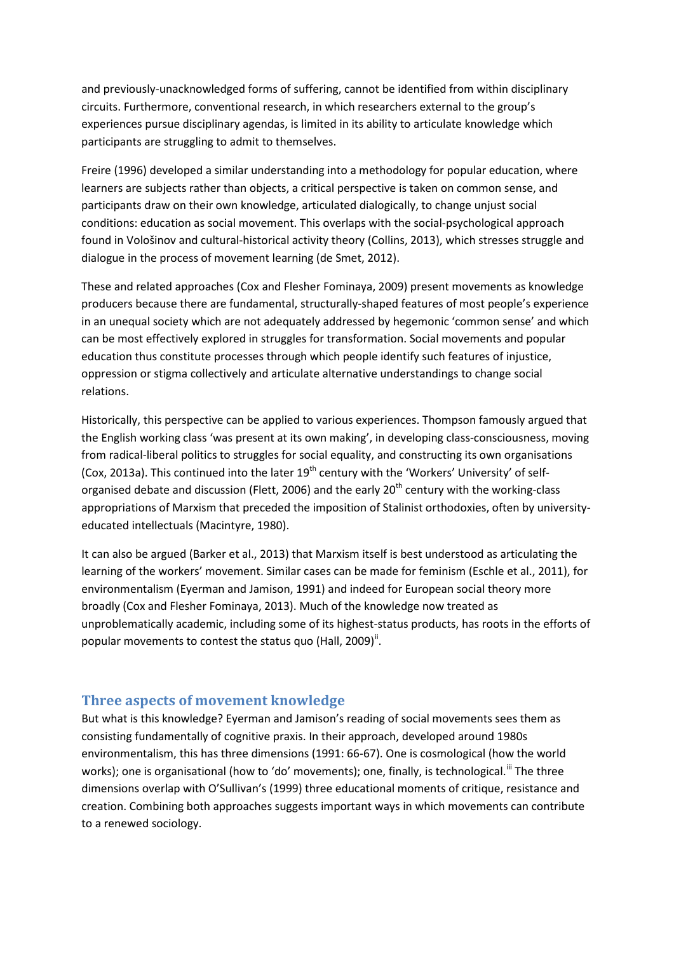and previously-unacknowledged forms of suffering, cannot be identified from within disciplinary circuits. Furthermore, conventional research, in which researchers external to the group's experiences pursue disciplinary agendas, is limited in its ability to articulate knowledge which participants are struggling to admit to themselves.

Freire (1996) developed a similar understanding into a methodology for popular education, where learners are subjects rather than objects, a critical perspective is taken on common sense, and participants draw on their own knowledge, articulated dialogically, to change unjust social conditions: education as social movement. This overlaps with the social-psychological approach found in Vološinov and cultural-historical activity theory (Collins, 2013), which stresses struggle and dialogue in the process of movement learning (de Smet, 2012).

These and related approaches (Cox and Flesher Fominaya, 2009) present movements as knowledge producers because there are fundamental, structurally-shaped features of most people's experience in an unequal society which are not adequately addressed by hegemonic 'common sense' and which can be most effectively explored in struggles for transformation. Social movements and popular education thus constitute processes through which people identify such features of injustice, oppression or stigma collectively and articulate alternative understandings to change social relations.

Historically, this perspective can be applied to various experiences. Thompson famously argued that the English working class 'was present at its own making', in developing class-consciousness, moving from radical-liberal politics to struggles for social equality, and constructing its own organisations (Cox, 2013a). This continued into the later  $19<sup>th</sup>$  century with the 'Workers' University' of selforganised debate and discussion (Flett, 2006) and the early  $20<sup>th</sup>$  century with the working-class appropriations of Marxism that preceded the imposition of Stalinist orthodoxies, often by universityeducated intellectuals (Macintyre, 1980).

It can also be argued (Barker et al., 2013) that Marxism itself is best understood as articulating the learning of the workers' movement. Similar cases can be made for feminism (Eschle et al., 2011), for environmentalism (Eyerman and Jamison, 1991) and indeed for European social theory more broadly (Cox and Flesher Fominaya, 2013). Much of the knowledge now treated as unproblematically academic, including some of its highest-status products, has roots in the efforts of popular movements to contest the status quo (Hall, 2009)<sup>"</sup>.

#### **Three aspects of movement knowledge**

But what is this knowledge? Eyerman and Jamison's reading of social movements sees them as consisting fundamentally of cognitive praxis. In their approach, developed around 1980s environmentalism, this has three dimensions (1991: 66-67). One is cosmological (how the world works); one is organisational (how to 'do' movements); one, finally, is technological. If The three dimensions overlap with O'Sullivan's (1999) three educational moments of critique, resistance and creation. Combining both approaches suggests important ways in which movements can contribute to a renewed sociology.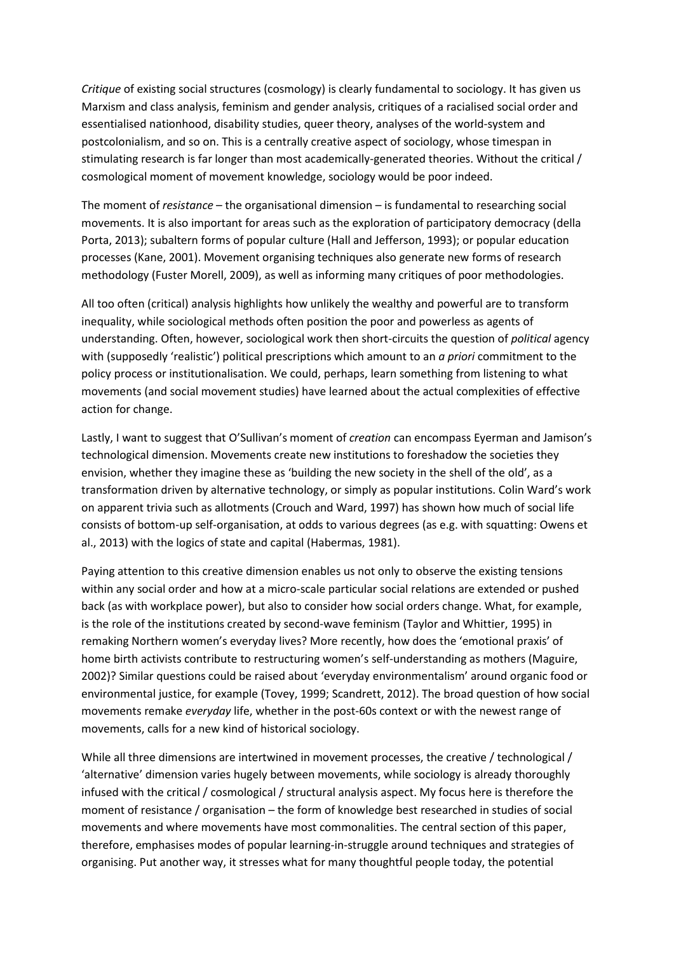*Critique* of existing social structures (cosmology) is clearly fundamental to sociology. It has given us Marxism and class analysis, feminism and gender analysis, critiques of a racialised social order and essentialised nationhood, disability studies, queer theory, analyses of the world-system and postcolonialism, and so on. This is a centrally creative aspect of sociology, whose timespan in stimulating research is far longer than most academically-generated theories. Without the critical / cosmological moment of movement knowledge, sociology would be poor indeed.

The moment of *resistance* – the organisational dimension – is fundamental to researching social movements. It is also important for areas such as the exploration of participatory democracy (della Porta, 2013); subaltern forms of popular culture (Hall and Jefferson, 1993); or popular education processes (Kane, 2001). Movement organising techniques also generate new forms of research methodology (Fuster Morell, 2009), as well as informing many critiques of poor methodologies.

All too often (critical) analysis highlights how unlikely the wealthy and powerful are to transform inequality, while sociological methods often position the poor and powerless as agents of understanding. Often, however, sociological work then short-circuits the question of *political* agency with (supposedly 'realistic') political prescriptions which amount to an *a priori* commitment to the policy process or institutionalisation. We could, perhaps, learn something from listening to what movements (and social movement studies) have learned about the actual complexities of effective action for change.

Lastly, I want to suggest that O'Sullivan's moment of *creation* can encompass Eyerman and Jamison's technological dimension. Movements create new institutions to foreshadow the societies they envision, whether they imagine these as 'building the new society in the shell of the old', as a transformation driven by alternative technology, or simply as popular institutions. Colin Ward's work on apparent trivia such as allotments (Crouch and Ward, 1997) has shown how much of social life consists of bottom-up self-organisation, at odds to various degrees (as e.g. with squatting: Owens et al., 2013) with the logics of state and capital (Habermas, 1981).

Paying attention to this creative dimension enables us not only to observe the existing tensions within any social order and how at a micro-scale particular social relations are extended or pushed back (as with workplace power), but also to consider how social orders change. What, for example, is the role of the institutions created by second-wave feminism (Taylor and Whittier, 1995) in remaking Northern women's everyday lives? More recently, how does the 'emotional praxis' of home birth activists contribute to restructuring women's self-understanding as mothers (Maguire, 2002)? Similar questions could be raised about 'everyday environmentalism' around organic food or environmental justice, for example (Tovey, 1999; Scandrett, 2012). The broad question of how social movements remake *everyday* life, whether in the post-60s context or with the newest range of movements, calls for a new kind of historical sociology.

While all three dimensions are intertwined in movement processes, the creative / technological / 'alternative' dimension varies hugely between movements, while sociology is already thoroughly infused with the critical / cosmological / structural analysis aspect. My focus here is therefore the moment of resistance / organisation – the form of knowledge best researched in studies of social movements and where movements have most commonalities. The central section of this paper, therefore, emphasises modes of popular learning-in-struggle around techniques and strategies of organising. Put another way, it stresses what for many thoughtful people today, the potential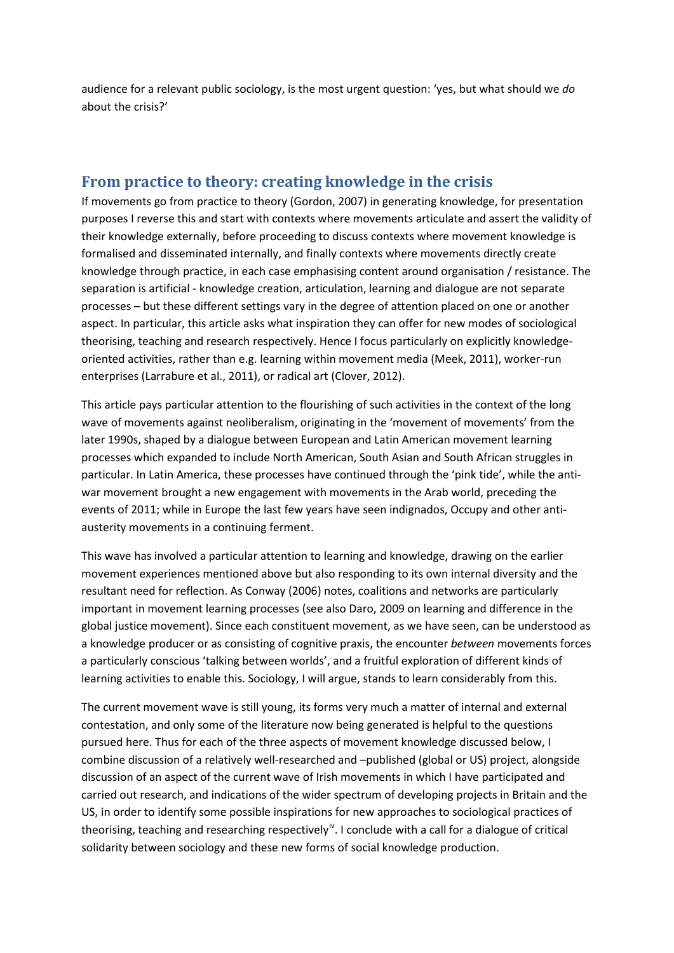audience for a relevant public sociology, is the most urgent question: 'yes, but what should we *do* about the crisis?'

#### **From practice to theory: creating knowledge in the crisis**

If movements go from practice to theory (Gordon, 2007) in generating knowledge, for presentation purposes I reverse this and start with contexts where movements articulate and assert the validity of their knowledge externally, before proceeding to discuss contexts where movement knowledge is formalised and disseminated internally, and finally contexts where movements directly create knowledge through practice, in each case emphasising content around organisation / resistance. The separation is artificial - knowledge creation, articulation, learning and dialogue are not separate processes – but these different settings vary in the degree of attention placed on one or another aspect. In particular, this article asks what inspiration they can offer for new modes of sociological theorising, teaching and research respectively. Hence I focus particularly on explicitly knowledgeoriented activities, rather than e.g. learning within movement media (Meek, 2011), worker-run enterprises (Larrabure et al., 2011), or radical art (Clover, 2012).

This article pays particular attention to the flourishing of such activities in the context of the long wave of movements against neoliberalism, originating in the 'movement of movements' from the later 1990s, shaped by a dialogue between European and Latin American movement learning processes which expanded to include North American, South Asian and South African struggles in particular. In Latin America, these processes have continued through the 'pink tide', while the antiwar movement brought a new engagement with movements in the Arab world, preceding the events of 2011; while in Europe the last few years have seen indignados, Occupy and other antiausterity movements in a continuing ferment.

This wave has involved a particular attention to learning and knowledge, drawing on the earlier movement experiences mentioned above but also responding to its own internal diversity and the resultant need for reflection. As Conway (2006) notes, coalitions and networks are particularly important in movement learning processes (see also Daro, 2009 on learning and difference in the global justice movement). Since each constituent movement, as we have seen, can be understood as a knowledge producer or as consisting of cognitive praxis, the encounter *between* movements forces a particularly conscious 'talking between worlds', and a fruitful exploration of different kinds of learning activities to enable this. Sociology, I will argue, stands to learn considerably from this.

The current movement wave is still young, its forms very much a matter of internal and external contestation, and only some of the literature now being generated is helpful to the questions pursued here. Thus for each of the three aspects of movement knowledge discussed below, I combine discussion of a relatively well-researched and –published (global or US) project, alongside discussion of an aspect of the current wave of Irish movements in which I have participated and carried out research, and indications of the wider spectrum of developing projects in Britain and the US, in order to identify some possible inspirations for new approaches to sociological practices of theorising, teaching and researching respect[iv](#page-17-3)ely<sup>iv</sup>. I conclude with a call for a dialogue of critical solidarity between sociology and these new forms of social knowledge production.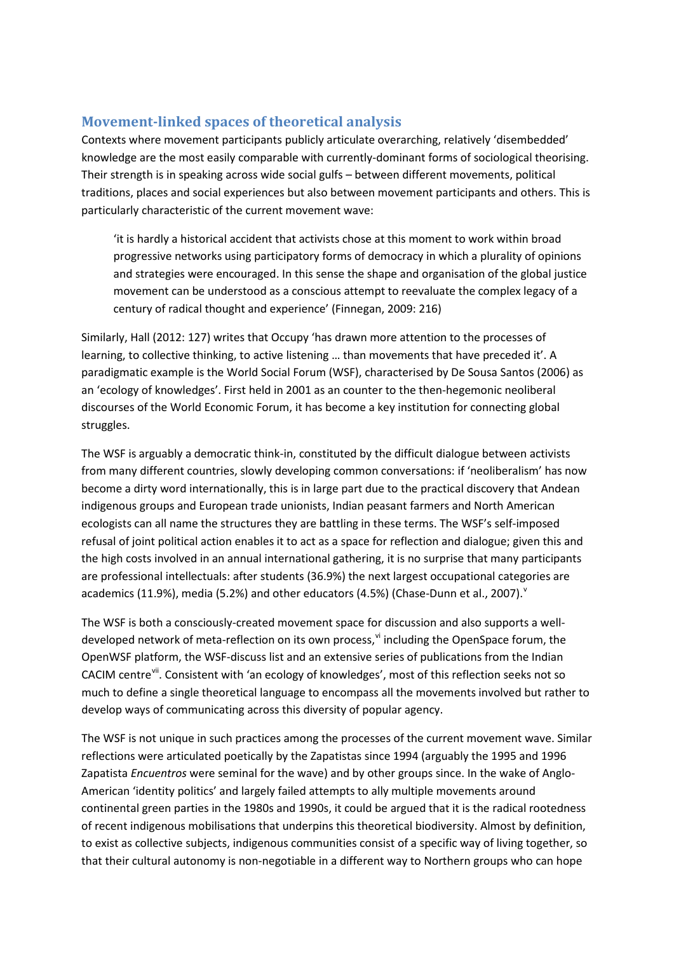## **Movement-linked spaces of theoretical analysis**

Contexts where movement participants publicly articulate overarching, relatively 'disembedded' knowledge are the most easily comparable with currently-dominant forms of sociological theorising. Their strength is in speaking across wide social gulfs – between different movements, political traditions, places and social experiences but also between movement participants and others. This is particularly characteristic of the current movement wave:

'it is hardly a historical accident that activists chose at this moment to work within broad progressive networks using participatory forms of democracy in which a plurality of opinions and strategies were encouraged. In this sense the shape and organisation of the global justice movement can be understood as a conscious attempt to reevaluate the complex legacy of a century of radical thought and experience' (Finnegan, 2009: 216)

Similarly, Hall (2012: 127) writes that Occupy 'has drawn more attention to the processes of learning, to collective thinking, to active listening … than movements that have preceded it'. A paradigmatic example is the World Social Forum (WSF), characterised by De Sousa Santos (2006) as an 'ecology of knowledges'. First held in 2001 as an counter to the then-hegemonic neoliberal discourses of the World Economic Forum, it has become a key institution for connecting global struggles.

The WSF is arguably a democratic think-in, constituted by the difficult dialogue between activists from many different countries, slowly developing common conversations: if 'neoliberalism' has now become a dirty word internationally, this is in large part due to the practical discovery that Andean indigenous groups and European trade unionists, Indian peasant farmers and North American ecologists can all name the structures they are battling in these terms. The WSF's self-imposed refusal of joint political action enables it to act as a space for reflection and dialogue; given this and the high costs involved in an annual international gathering, it is no surprise that many participants are professional intellectuals: after students (36.9%) the next largest occupational categories are academics (11.9%), media (5.2%) and other educators (4.5%) (Chase-Dunn et al., 2007).

The WSF is both a consciously-created movement space for discussion and also supports a welldeveloped network of meta-reflection on its own process, [vi](#page-17-5) including the OpenSpace forum, the OpenWSF platform, the WSF-discuss list and an extensive series of publications from the Indian CACIM centre<sup>[vii](#page-17-6)</sup>. Consistent with 'an ecology of knowledges', most of this reflection seeks not so much to define a single theoretical language to encompass all the movements involved but rather to develop ways of communicating across this diversity of popular agency.

The WSF is not unique in such practices among the processes of the current movement wave. Similar reflections were articulated poetically by the Zapatistas since 1994 (arguably the 1995 and 1996 Zapatista *Encuentros* were seminal for the wave) and by other groups since. In the wake of Anglo-American 'identity politics' and largely failed attempts to ally multiple movements around continental green parties in the 1980s and 1990s, it could be argued that it is the radical rootedness of recent indigenous mobilisations that underpins this theoretical biodiversity. Almost by definition, to exist as collective subjects, indigenous communities consist of a specific way of living together, so that their cultural autonomy is non-negotiable in a different way to Northern groups who can hope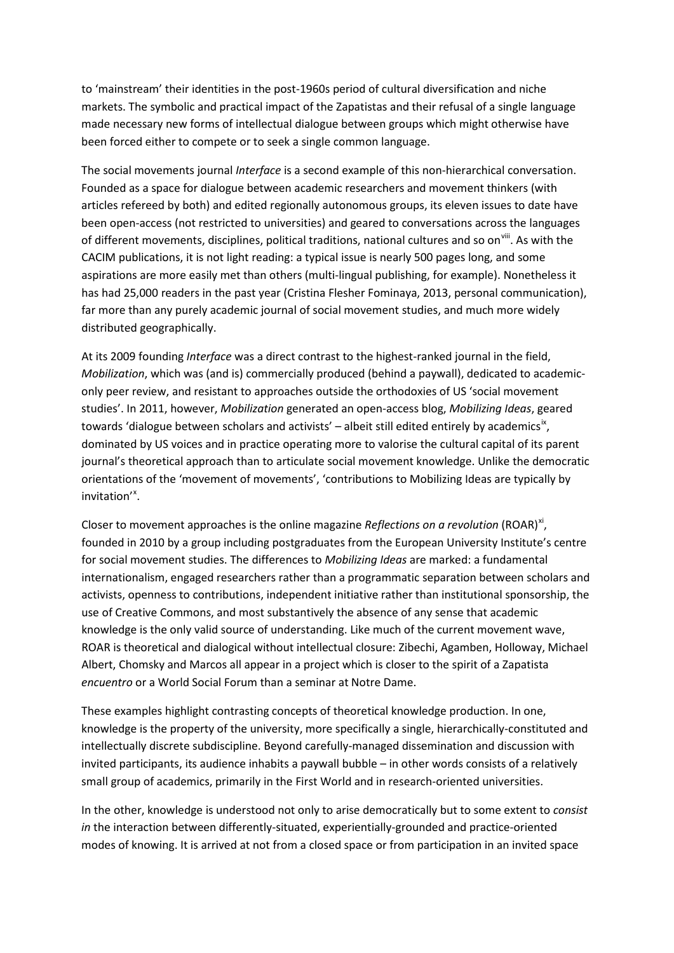to 'mainstream' their identities in the post-1960s period of cultural diversification and niche markets. The symbolic and practical impact of the Zapatistas and their refusal of a single language made necessary new forms of intellectual dialogue between groups which might otherwise have been forced either to compete or to seek a single common language.

The social movements journal *Interface* is a second example of this non-hierarchical conversation. Founded as a space for dialogue between academic researchers and movement thinkers (with articles refereed by both) and edited regionally autonomous groups, its eleven issues to date have been open-access (not restricted to universities) and geared to conversations across the languages of different movements, disciplines, political traditions, national cultures and so on<sup>viii</sup>. As with the CACIM publications, it is not light reading: a typical issue is nearly 500 pages long, and some aspirations are more easily met than others (multi-lingual publishing, for example). Nonetheless it has had 25,000 readers in the past year (Cristina Flesher Fominaya, 2013, personal communication), far more than any purely academic journal of social movement studies, and much more widely distributed geographically.

At its 2009 founding *Interface* was a direct contrast to the highest-ranked journal in the field, *Mobilization*, which was (and is) commercially produced (behind a paywall), dedicated to academiconly peer review, and resistant to approaches outside the orthodoxies of US 'social movement studies'. In 2011, however, *Mobilization* generated an open-access blog, *Mobilizing Ideas*, geared towards 'dialogue between scholars and activists'  $-$  albeit still edited entirely by academics<sup>[ix](#page-17-8)</sup>, dominated by US voices and in practice operating more to valorise the cultural capital of its parent journal's theoretical approach than to articulate social movement knowledge. Unlike the democratic orientations of the 'movement of movements', 'contributions to Mobilizing Ideas are typically by invitation'<sup>[x](#page-17-9)</sup>.

Closer to movement approaches is the online magazine *Reflections on a revolution* (ROAR)<sup>[xi](#page-17-10)</sup>, founded in 2010 by a group including postgraduates from the European University Institute's centre for social movement studies. The differences to *Mobilizing Ideas* are marked: a fundamental internationalism, engaged researchers rather than a programmatic separation between scholars and activists, openness to contributions, independent initiative rather than institutional sponsorship, the use of Creative Commons, and most substantively the absence of any sense that academic knowledge is the only valid source of understanding. Like much of the current movement wave, ROAR is theoretical and dialogical without intellectual closure: Zibechi, Agamben, Holloway, Michael Albert, Chomsky and Marcos all appear in a project which is closer to the spirit of a Zapatista *encuentro* or a World Social Forum than a seminar at Notre Dame.

These examples highlight contrasting concepts of theoretical knowledge production. In one, knowledge is the property of the university, more specifically a single, hierarchically-constituted and intellectually discrete subdiscipline. Beyond carefully-managed dissemination and discussion with invited participants, its audience inhabits a paywall bubble – in other words consists of a relatively small group of academics, primarily in the First World and in research-oriented universities.

In the other, knowledge is understood not only to arise democratically but to some extent to *consist in* the interaction between differently-situated, experientially-grounded and practice-oriented modes of knowing. It is arrived at not from a closed space or from participation in an invited space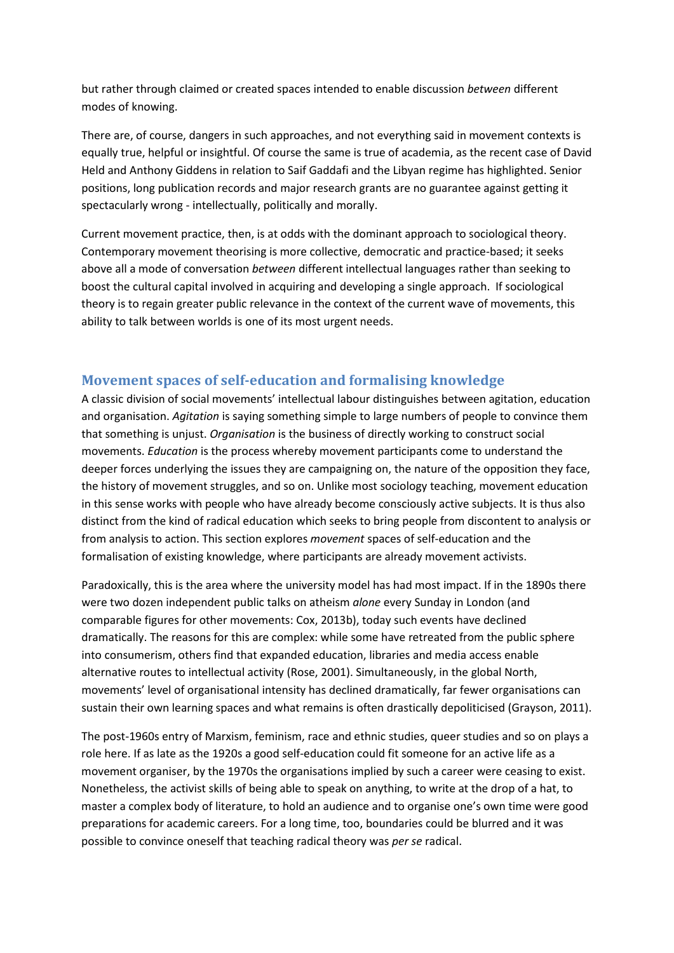but rather through claimed or created spaces intended to enable discussion *between* different modes of knowing.

There are, of course, dangers in such approaches, and not everything said in movement contexts is equally true, helpful or insightful. Of course the same is true of academia, as the recent case of David Held and Anthony Giddens in relation to Saif Gaddafi and the Libyan regime has highlighted. Senior positions, long publication records and major research grants are no guarantee against getting it spectacularly wrong - intellectually, politically and morally.

Current movement practice, then, is at odds with the dominant approach to sociological theory. Contemporary movement theorising is more collective, democratic and practice-based; it seeks above all a mode of conversation *between* different intellectual languages rather than seeking to boost the cultural capital involved in acquiring and developing a single approach. If sociological theory is to regain greater public relevance in the context of the current wave of movements, this ability to talk between worlds is one of its most urgent needs.

#### **Movement spaces of self-education and formalising knowledge**

A classic division of social movements' intellectual labour distinguishes between agitation, education and organisation. *Agitation* is saying something simple to large numbers of people to convince them that something is unjust. *Organisation* is the business of directly working to construct social movements. *Education* is the process whereby movement participants come to understand the deeper forces underlying the issues they are campaigning on, the nature of the opposition they face, the history of movement struggles, and so on. Unlike most sociology teaching, movement education in this sense works with people who have already become consciously active subjects. It is thus also distinct from the kind of radical education which seeks to bring people from discontent to analysis or from analysis to action. This section explores *movement* spaces of self-education and the formalisation of existing knowledge, where participants are already movement activists.

Paradoxically, this is the area where the university model has had most impact. If in the 1890s there were two dozen independent public talks on atheism *alone* every Sunday in London (and comparable figures for other movements: Cox, 2013b), today such events have declined dramatically. The reasons for this are complex: while some have retreated from the public sphere into consumerism, others find that expanded education, libraries and media access enable alternative routes to intellectual activity (Rose, 2001). Simultaneously, in the global North, movements' level of organisational intensity has declined dramatically, far fewer organisations can sustain their own learning spaces and what remains is often drastically depoliticised (Grayson, 2011).

The post-1960s entry of Marxism, feminism, race and ethnic studies, queer studies and so on plays a role here. If as late as the 1920s a good self-education could fit someone for an active life as a movement organiser, by the 1970s the organisations implied by such a career were ceasing to exist. Nonetheless, the activist skills of being able to speak on anything, to write at the drop of a hat, to master a complex body of literature, to hold an audience and to organise one's own time were good preparations for academic careers. For a long time, too, boundaries could be blurred and it was possible to convince oneself that teaching radical theory was *per se* radical.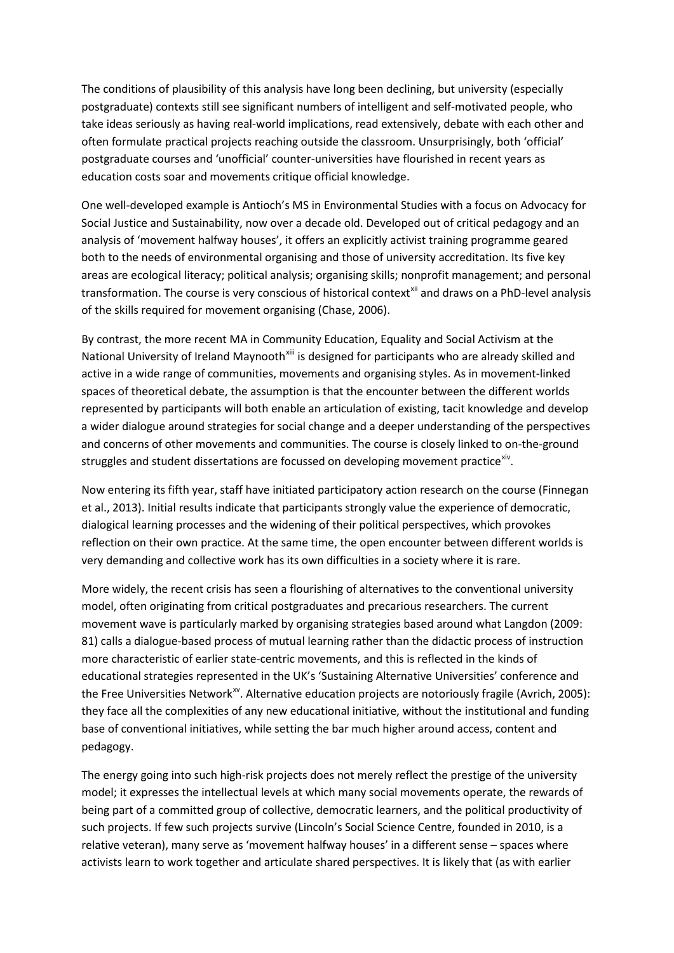The conditions of plausibility of this analysis have long been declining, but university (especially postgraduate) contexts still see significant numbers of intelligent and self-motivated people, who take ideas seriously as having real-world implications, read extensively, debate with each other and often formulate practical projects reaching outside the classroom. Unsurprisingly, both 'official' postgraduate courses and 'unofficial' counter-universities have flourished in recent years as education costs soar and movements critique official knowledge.

One well-developed example is Antioch's MS in Environmental Studies with a focus on Advocacy for Social Justice and Sustainability, now over a decade old. Developed out of critical pedagogy and an analysis of 'movement halfway houses', it offers an explicitly activist training programme geared both to the needs of environmental organising and those of university accreditation. Its five key areas are ecological literacy; political analysis; organising skills; nonprofit management; and personal transformation. The course is very conscious of historical context<sup>[xii](#page-17-11)</sup> and draws on a PhD-level analysis of the skills required for movement organising (Chase, 2006).

By contrast, the more recent MA in Community Education, Equality and Social Activism at the National University of Ireland Maynooth<sup>[xiii](#page-17-12)</sup> is designed for participants who are already skilled and active in a wide range of communities, movements and organising styles. As in movement-linked spaces of theoretical debate, the assumption is that the encounter between the different worlds represented by participants will both enable an articulation of existing, tacit knowledge and develop a wider dialogue around strategies for social change and a deeper understanding of the perspectives and concerns of other movements and communities. The course is closely linked to on-the-ground struggles and student dissertations are focussed on developing movement practice<sup>xiv</sup>.

Now entering its fifth year, staff have initiated participatory action research on the course (Finnegan et al., 2013). Initial results indicate that participants strongly value the experience of democratic, dialogical learning processes and the widening of their political perspectives, which provokes reflection on their own practice. At the same time, the open encounter between different worlds is very demanding and collective work has its own difficulties in a society where it is rare.

More widely, the recent crisis has seen a flourishing of alternatives to the conventional university model, often originating from critical postgraduates and precarious researchers. The current movement wave is particularly marked by organising strategies based around what Langdon (2009: 81) calls a dialogue-based process of mutual learning rather than the didactic process of instruction more characteristic of earlier state-centric movements, and this is reflected in the kinds of educational strategies represented in the UK's 'Sustaining Alternative Universities' conference and the Free Universities Network<sup>[xv](#page-17-14)</sup>. Alternative education projects are notoriously fragile (Avrich, 2005): they face all the complexities of any new educational initiative, without the institutional and funding base of conventional initiatives, while setting the bar much higher around access, content and pedagogy.

The energy going into such high-risk projects does not merely reflect the prestige of the university model; it expresses the intellectual levels at which many social movements operate, the rewards of being part of a committed group of collective, democratic learners, and the political productivity of such projects. If few such projects survive (Lincoln's Social Science Centre, founded in 2010, is a relative veteran), many serve as 'movement halfway houses' in a different sense – spaces where activists learn to work together and articulate shared perspectives. It is likely that (as with earlier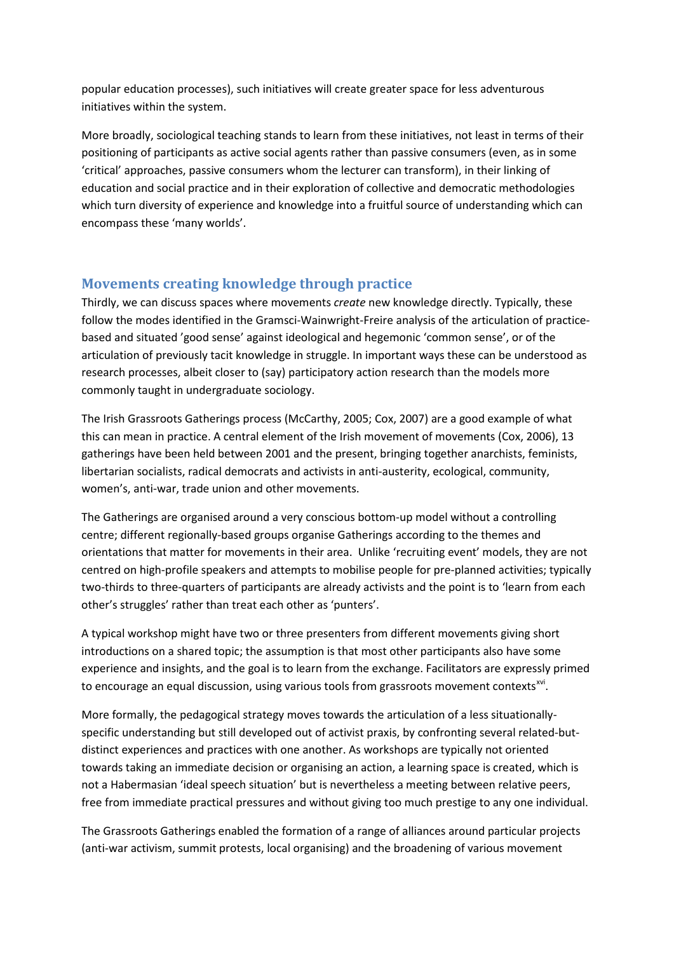popular education processes), such initiatives will create greater space for less adventurous initiatives within the system.

More broadly, sociological teaching stands to learn from these initiatives, not least in terms of their positioning of participants as active social agents rather than passive consumers (even, as in some 'critical' approaches, passive consumers whom the lecturer can transform), in their linking of education and social practice and in their exploration of collective and democratic methodologies which turn diversity of experience and knowledge into a fruitful source of understanding which can encompass these 'many worlds'.

#### **Movements creating knowledge through practice**

Thirdly, we can discuss spaces where movements *create* new knowledge directly. Typically, these follow the modes identified in the Gramsci-Wainwright-Freire analysis of the articulation of practicebased and situated 'good sense' against ideological and hegemonic 'common sense', or of the articulation of previously tacit knowledge in struggle. In important ways these can be understood as research processes, albeit closer to (say) participatory action research than the models more commonly taught in undergraduate sociology.

The Irish Grassroots Gatherings process (McCarthy, 2005; Cox, 2007) are a good example of what this can mean in practice. A central element of the Irish movement of movements (Cox, 2006), 13 gatherings have been held between 2001 and the present, bringing together anarchists, feminists, libertarian socialists, radical democrats and activists in anti-austerity, ecological, community, women's, anti-war, trade union and other movements.

The Gatherings are organised around a very conscious bottom-up model without a controlling centre; different regionally-based groups organise Gatherings according to the themes and orientations that matter for movements in their area. Unlike 'recruiting event' models, they are not centred on high-profile speakers and attempts to mobilise people for pre-planned activities; typically two-thirds to three-quarters of participants are already activists and the point is to 'learn from each other's struggles' rather than treat each other as 'punters'.

A typical workshop might have two or three presenters from different movements giving short introductions on a shared topic; the assumption is that most other participants also have some experience and insights, and the goal is to learn from the exchange. Facilitators are expressly primed to encourage an equal discussion, using various tools from grassroots movement contexts $^{xvi}$ .

More formally, the pedagogical strategy moves towards the articulation of a less situationallyspecific understanding but still developed out of activist praxis, by confronting several related-butdistinct experiences and practices with one another. As workshops are typically not oriented towards taking an immediate decision or organising an action, a learning space is created, which is not a Habermasian 'ideal speech situation' but is nevertheless a meeting between relative peers, free from immediate practical pressures and without giving too much prestige to any one individual.

The Grassroots Gatherings enabled the formation of a range of alliances around particular projects (anti-war activism, summit protests, local organising) and the broadening of various movement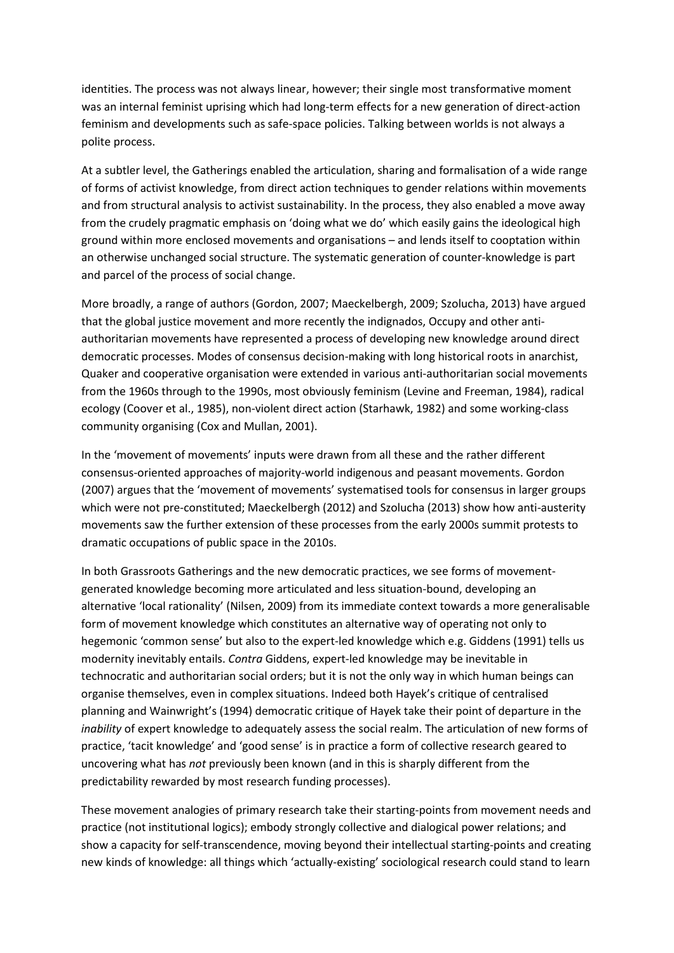identities. The process was not always linear, however; their single most transformative moment was an internal feminist uprising which had long-term effects for a new generation of direct-action feminism and developments such as safe-space policies. Talking between worlds is not always a polite process.

At a subtler level, the Gatherings enabled the articulation, sharing and formalisation of a wide range of forms of activist knowledge, from direct action techniques to gender relations within movements and from structural analysis to activist sustainability. In the process, they also enabled a move away from the crudely pragmatic emphasis on 'doing what we do' which easily gains the ideological high ground within more enclosed movements and organisations – and lends itself to cooptation within an otherwise unchanged social structure. The systematic generation of counter-knowledge is part and parcel of the process of social change.

More broadly, a range of authors (Gordon, 2007; Maeckelbergh, 2009; Szolucha, 2013) have argued that the global justice movement and more recently the indignados, Occupy and other antiauthoritarian movements have represented a process of developing new knowledge around direct democratic processes. Modes of consensus decision-making with long historical roots in anarchist, Quaker and cooperative organisation were extended in various anti-authoritarian social movements from the 1960s through to the 1990s, most obviously feminism (Levine and Freeman, 1984), radical ecology (Coover et al., 1985), non-violent direct action (Starhawk, 1982) and some working-class community organising (Cox and Mullan, 2001).

In the 'movement of movements' inputs were drawn from all these and the rather different consensus-oriented approaches of majority-world indigenous and peasant movements. Gordon (2007) argues that the 'movement of movements' systematised tools for consensus in larger groups which were not pre-constituted; Maeckelbergh (2012) and Szolucha (2013) show how anti-austerity movements saw the further extension of these processes from the early 2000s summit protests to dramatic occupations of public space in the 2010s.

In both Grassroots Gatherings and the new democratic practices, we see forms of movementgenerated knowledge becoming more articulated and less situation-bound, developing an alternative 'local rationality' (Nilsen, 2009) from its immediate context towards a more generalisable form of movement knowledge which constitutes an alternative way of operating not only to hegemonic 'common sense' but also to the expert-led knowledge which e.g. Giddens (1991) tells us modernity inevitably entails. *Contra* Giddens, expert-led knowledge may be inevitable in technocratic and authoritarian social orders; but it is not the only way in which human beings can organise themselves, even in complex situations. Indeed both Hayek's critique of centralised planning and Wainwright's (1994) democratic critique of Hayek take their point of departure in the *inability* of expert knowledge to adequately assess the social realm. The articulation of new forms of practice, 'tacit knowledge' and 'good sense' is in practice a form of collective research geared to uncovering what has *not* previously been known (and in this is sharply different from the predictability rewarded by most research funding processes).

These movement analogies of primary research take their starting-points from movement needs and practice (not institutional logics); embody strongly collective and dialogical power relations; and show a capacity for self-transcendence, moving beyond their intellectual starting-points and creating new kinds of knowledge: all things which 'actually-existing' sociological research could stand to learn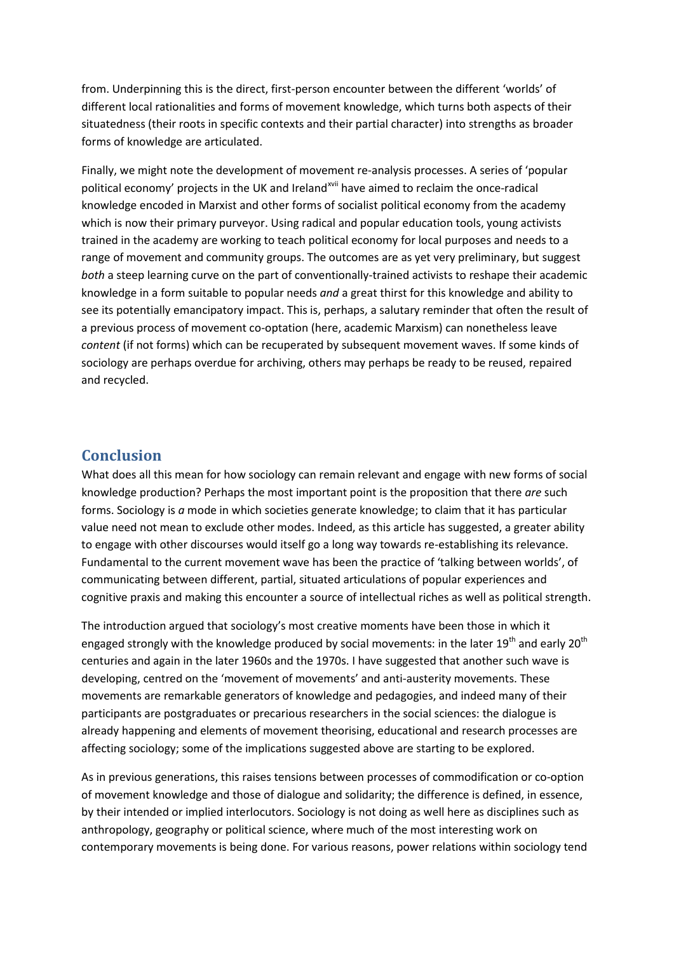from. Underpinning this is the direct, first-person encounter between the different 'worlds' of different local rationalities and forms of movement knowledge, which turns both aspects of their situatedness (their roots in specific contexts and their partial character) into strengths as broader forms of knowledge are articulated.

Finally, we might note the development of movement re-analysis processes. A series of 'popular political economy' projects in the UK and Ireland<sup>[xvii](#page-18-1)</sup> have aimed to reclaim the once-radical knowledge encoded in Marxist and other forms of socialist political economy from the academy which is now their primary purveyor. Using radical and popular education tools, young activists trained in the academy are working to teach political economy for local purposes and needs to a range of movement and community groups. The outcomes are as yet very preliminary, but suggest *both* a steep learning curve on the part of conventionally-trained activists to reshape their academic knowledge in a form suitable to popular needs *and* a great thirst for this knowledge and ability to see its potentially emancipatory impact. This is, perhaps, a salutary reminder that often the result of a previous process of movement co-optation (here, academic Marxism) can nonetheless leave *content* (if not forms) which can be recuperated by subsequent movement waves. If some kinds of sociology are perhaps overdue for archiving, others may perhaps be ready to be reused, repaired and recycled.

#### **Conclusion**

What does all this mean for how sociology can remain relevant and engage with new forms of social knowledge production? Perhaps the most important point is the proposition that there *are* such forms. Sociology is *a* mode in which societies generate knowledge; to claim that it has particular value need not mean to exclude other modes. Indeed, as this article has suggested, a greater ability to engage with other discourses would itself go a long way towards re-establishing its relevance. Fundamental to the current movement wave has been the practice of 'talking between worlds', of communicating between different, partial, situated articulations of popular experiences and cognitive praxis and making this encounter a source of intellectual riches as well as political strength.

The introduction argued that sociology's most creative moments have been those in which it engaged strongly with the knowledge produced by social movements: in the later 19<sup>th</sup> and early 20<sup>th</sup> centuries and again in the later 1960s and the 1970s. I have suggested that another such wave is developing, centred on the 'movement of movements' and anti-austerity movements. These movements are remarkable generators of knowledge and pedagogies, and indeed many of their participants are postgraduates or precarious researchers in the social sciences: the dialogue is already happening and elements of movement theorising, educational and research processes are affecting sociology; some of the implications suggested above are starting to be explored.

As in previous generations, this raises tensions between processes of commodification or co-option of movement knowledge and those of dialogue and solidarity; the difference is defined, in essence, by their intended or implied interlocutors. Sociology is not doing as well here as disciplines such as anthropology, geography or political science, where much of the most interesting work on contemporary movements is being done. For various reasons, power relations within sociology tend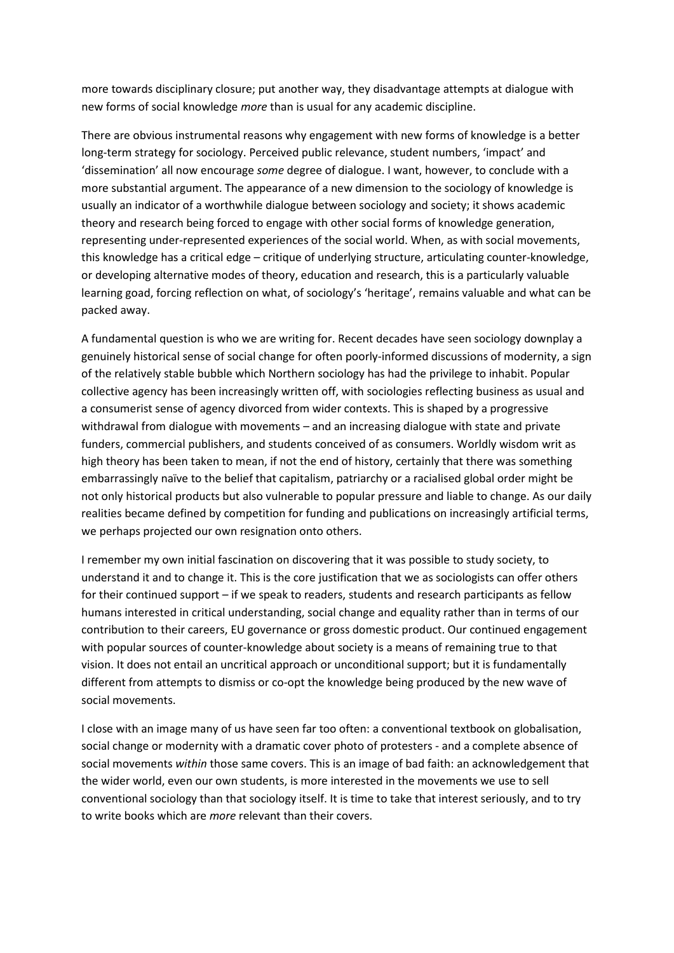more towards disciplinary closure; put another way, they disadvantage attempts at dialogue with new forms of social knowledge *more* than is usual for any academic discipline.

There are obvious instrumental reasons why engagement with new forms of knowledge is a better long-term strategy for sociology. Perceived public relevance, student numbers, 'impact' and 'dissemination' all now encourage *some* degree of dialogue. I want, however, to conclude with a more substantial argument. The appearance of a new dimension to the sociology of knowledge is usually an indicator of a worthwhile dialogue between sociology and society; it shows academic theory and research being forced to engage with other social forms of knowledge generation, representing under-represented experiences of the social world. When, as with social movements, this knowledge has a critical edge – critique of underlying structure, articulating counter-knowledge, or developing alternative modes of theory, education and research, this is a particularly valuable learning goad, forcing reflection on what, of sociology's 'heritage', remains valuable and what can be packed away.

A fundamental question is who we are writing for. Recent decades have seen sociology downplay a genuinely historical sense of social change for often poorly-informed discussions of modernity, a sign of the relatively stable bubble which Northern sociology has had the privilege to inhabit. Popular collective agency has been increasingly written off, with sociologies reflecting business as usual and a consumerist sense of agency divorced from wider contexts. This is shaped by a progressive withdrawal from dialogue with movements – and an increasing dialogue with state and private funders, commercial publishers, and students conceived of as consumers. Worldly wisdom writ as high theory has been taken to mean, if not the end of history, certainly that there was something embarrassingly naïve to the belief that capitalism, patriarchy or a racialised global order might be not only historical products but also vulnerable to popular pressure and liable to change. As our daily realities became defined by competition for funding and publications on increasingly artificial terms, we perhaps projected our own resignation onto others.

I remember my own initial fascination on discovering that it was possible to study society, to understand it and to change it. This is the core justification that we as sociologists can offer others for their continued support – if we speak to readers, students and research participants as fellow humans interested in critical understanding, social change and equality rather than in terms of our contribution to their careers, EU governance or gross domestic product. Our continued engagement with popular sources of counter-knowledge about society is a means of remaining true to that vision. It does not entail an uncritical approach or unconditional support; but it is fundamentally different from attempts to dismiss or co-opt the knowledge being produced by the new wave of social movements.

I close with an image many of us have seen far too often: a conventional textbook on globalisation, social change or modernity with a dramatic cover photo of protesters - and a complete absence of social movements *within* those same covers. This is an image of bad faith: an acknowledgement that the wider world, even our own students, is more interested in the movements we use to sell conventional sociology than that sociology itself. It is time to take that interest seriously, and to try to write books which are *more* relevant than their covers.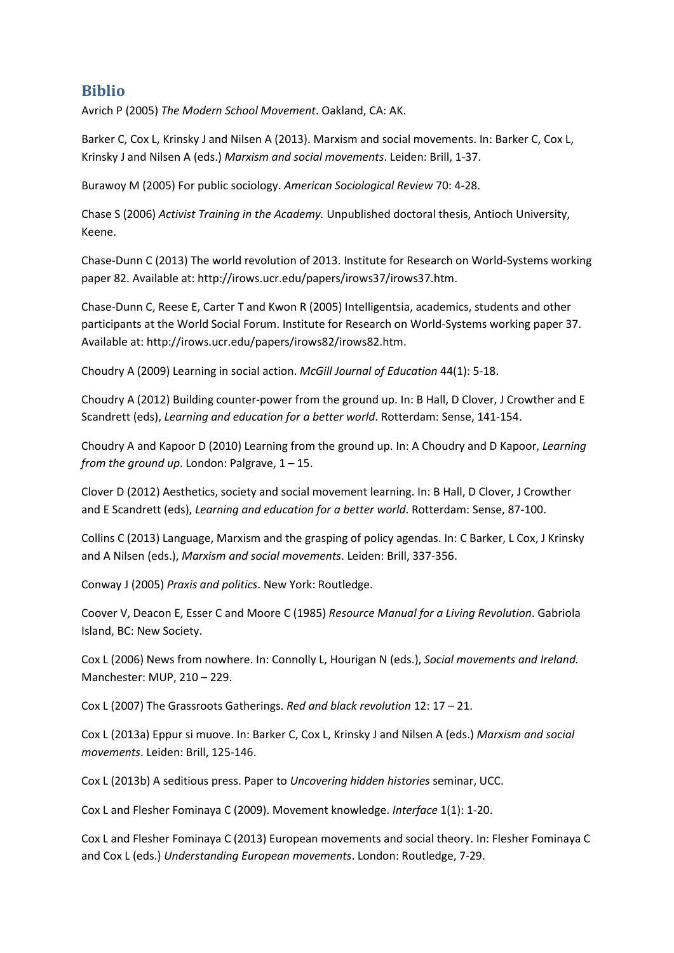## **Biblio**

Avrich P (2005) *The Modern School Movement*. Oakland, CA: AK.

Barker C, Cox L, Krinsky J and Nilsen A (2013). Marxism and social movements. In: Barker C, Cox L, Krinsky J and Nilsen A (eds.) *Marxism and social movements*. Leiden: Brill, 1-37.

Burawoy M (2005) For public sociology. *American Sociological Review* 70: 4-28.

Chase S (2006) *Activist Training in the Academy.* Unpublished doctoral thesis, Antioch University, Keene.

Chase-Dunn C (2013) The world revolution of 2013. Institute for Research on World-Systems working paper 82. Available at: http://irows.ucr.edu/papers/irows37/irows37.htm.

Chase-Dunn C, Reese E, Carter T and Kwon R (2005) Intelligentsia, academics, students and other participants at the World Social Forum. Institute for Research on World-Systems working paper 37. Available at: http://irows.ucr.edu/papers/irows82/irows82.htm.

Choudry A (2009) Learning in social action. *McGill Journal of Education* 44(1): 5-18.

Choudry A (2012) Building counter-power from the ground up. In: B Hall, D Clover, J Crowther and E Scandrett (eds), *Learning and education for a better world*. Rotterdam: Sense, 141-154.

Choudry A and Kapoor D (2010) Learning from the ground up. In: A Choudry and D Kapoor, *Learning from the ground up*. London: Palgrave, 1 – 15.

Clover D (2012) Aesthetics, society and social movement learning. In: B Hall, D Clover, J Crowther and E Scandrett (eds), *Learning and education for a better world*. Rotterdam: Sense, 87-100.

Collins C (2013) Language, Marxism and the grasping of policy agendas. In: C Barker, L Cox, J Krinsky and A Nilsen (eds.), *Marxism and social movements*. Leiden: Brill, 337-356.

Conway J (2005) *Praxis and politics*. New York: Routledge.

Coover V, Deacon E, Esser C and Moore C (1985) *Resource Manual for a Living Revolution*. Gabriola Island, BC: New Society.

Cox L (2006) News from nowhere. In: Connolly L, Hourigan N (eds.), *Social movements and Ireland.*  Manchester: MUP, 210 – 229.

Cox L (2007) The Grassroots Gatherings. *Red and black revolution* 12: 17 – 21.

Cox L (2013a) Eppur si muove. In: Barker C, Cox L, Krinsky J and Nilsen A (eds.) *Marxism and social movements*. Leiden: Brill, 125-146.

Cox L (2013b) A seditious press. Paper to *Uncovering hidden histories* seminar, UCC.

Cox L and Flesher Fominaya C (2009). Movement knowledge. *Interface* 1(1): 1-20.

Cox L and Flesher Fominaya C (2013) European movements and social theory. In: Flesher Fominaya C and Cox L (eds.) *Understanding European movements*. London: Routledge, 7-29.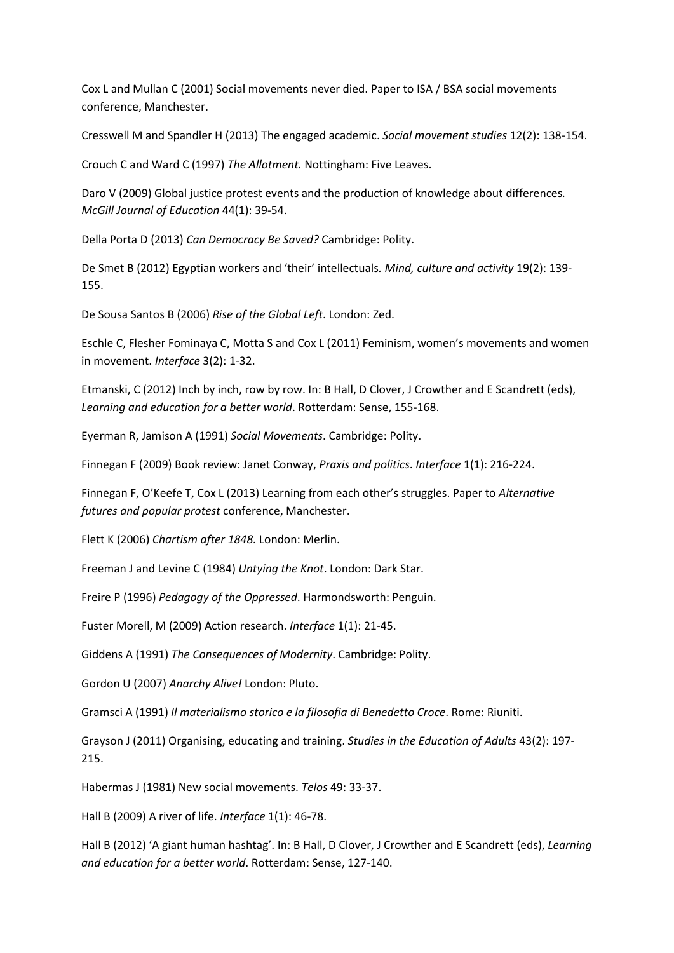Cox L and Mullan C (2001) Social movements never died. Paper to ISA / BSA social movements conference, Manchester.

Cresswell M and Spandler H (2013) The engaged academic. *Social movement studies* 12(2): 138-154.

Crouch C and Ward C (1997) *The Allotment.* Nottingham: Five Leaves.

Daro V (2009) Global justice protest events and the production of knowledge about differences*. McGill Journal of Education* 44(1): 39-54.

Della Porta D (2013) *Can Democracy Be Saved?* Cambridge: Polity.

De Smet B (2012) Egyptian workers and 'their' intellectuals*. Mind, culture and activity* 19(2): 139- 155.

De Sousa Santos B (2006) *Rise of the Global Left*. London: Zed.

Eschle C, Flesher Fominaya C, Motta S and Cox L (2011) Feminism, women's movements and women in movement. *Interface* 3(2): 1-32.

Etmanski, C (2012) Inch by inch, row by row. In: B Hall, D Clover, J Crowther and E Scandrett (eds), *Learning and education for a better world*. Rotterdam: Sense, 155-168.

Eyerman R, Jamison A (1991) *Social Movements*. Cambridge: Polity.

Finnegan F (2009) Book review: Janet Conway, *Praxis and politics*. *Interface* 1(1): 216-224.

Finnegan F, O'Keefe T, Cox L (2013) Learning from each other's struggles. Paper to *Alternative futures and popular protest* conference, Manchester.

Flett K (2006) *Chartism after 1848.* London: Merlin.

Freeman J and Levine C (1984) *Untying the Knot*. London: Dark Star.

Freire P (1996) *Pedagogy of the Oppressed*. Harmondsworth: Penguin.

Fuster Morell, M (2009) Action research. *Interface* 1(1): 21-45.

Giddens A (1991) *The Consequences of Modernity*. Cambridge: Polity.

Gordon U (2007) *Anarchy Alive!* London: Pluto.

Gramsci A (1991) *Il materialismo storico e la filosofia di Benedetto Croce*. Rome: Riuniti.

Grayson J (2011) Organising, educating and training. *Studies in the Education of Adults* 43(2): 197- 215.

Habermas J (1981) New social movements. *Telos* 49: 33-37.

Hall B (2009) A river of life. *Interface* 1(1): 46-78.

Hall B (2012) 'A giant human hashtag'. In: B Hall, D Clover, J Crowther and E Scandrett (eds), *Learning and education for a better world*. Rotterdam: Sense, 127-140.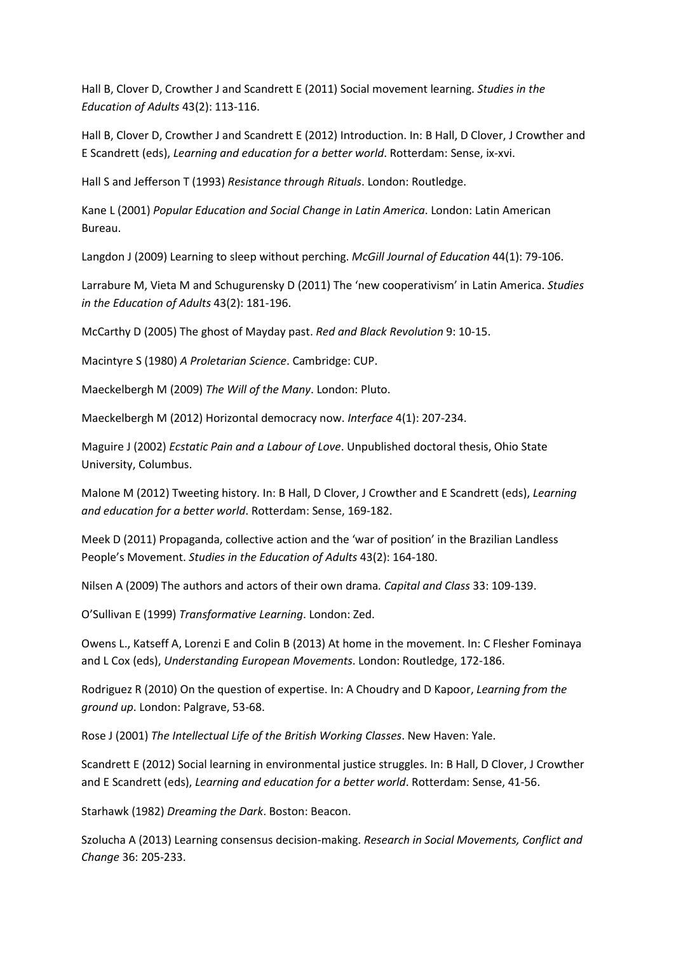Hall B, Clover D, Crowther J and Scandrett E (2011) Social movement learning. *Studies in the Education of Adults* 43(2): 113-116.

Hall B, Clover D, Crowther J and Scandrett E (2012) Introduction. In: B Hall, D Clover, J Crowther and E Scandrett (eds), *Learning and education for a better world*. Rotterdam: Sense, ix-xvi.

Hall S and Jefferson T (1993) *Resistance through Rituals*. London: Routledge.

Kane L (2001) *Popular Education and Social Change in Latin America*. London: Latin American Bureau.

Langdon J (2009) Learning to sleep without perching. *McGill Journal of Education* 44(1): 79-106.

Larrabure M, Vieta M and Schugurensky D (2011) The 'new cooperativism' in Latin America. *Studies in the Education of Adults* 43(2): 181-196.

McCarthy D (2005) The ghost of Mayday past. *Red and Black Revolution* 9: 10-15.

Macintyre S (1980) *A Proletarian Science*. Cambridge: CUP.

Maeckelbergh M (2009) *The Will of the Many*. London: Pluto.

Maeckelbergh M (2012) Horizontal democracy now. *Interface* 4(1): 207-234.

Maguire J (2002) *Ecstatic Pain and a Labour of Love*. Unpublished doctoral thesis, Ohio State University, Columbus.

Malone M (2012) Tweeting history. In: B Hall, D Clover, J Crowther and E Scandrett (eds), *Learning and education for a better world*. Rotterdam: Sense, 169-182.

Meek D (2011) Propaganda, collective action and the 'war of position' in the Brazilian Landless People's Movement. *Studies in the Education of Adults* 43(2): 164-180.

Nilsen A (2009) The authors and actors of their own drama*. Capital and Class* 33: 109-139.

O'Sullivan E (1999) *Transformative Learning*. London: Zed.

Owens L., Katseff A, Lorenzi E and Colin B (2013) At home in the movement. In: C Flesher Fominaya and L Cox (eds), *Understanding European Movements*. London: Routledge, 172-186.

Rodriguez R (2010) On the question of expertise. In: A Choudry and D Kapoor, *Learning from the ground up*. London: Palgrave, 53-68.

Rose J (2001) *The Intellectual Life of the British Working Classes*. New Haven: Yale.

Scandrett E (2012) Social learning in environmental justice struggles. In: B Hall, D Clover, J Crowther and E Scandrett (eds), *Learning and education for a better world*. Rotterdam: Sense, 41-56.

Starhawk (1982) *Dreaming the Dark*. Boston: Beacon.

Szolucha A (2013) Learning consensus decision-making. *Research in Social Movements, Conflict and Change* 36: 205-233.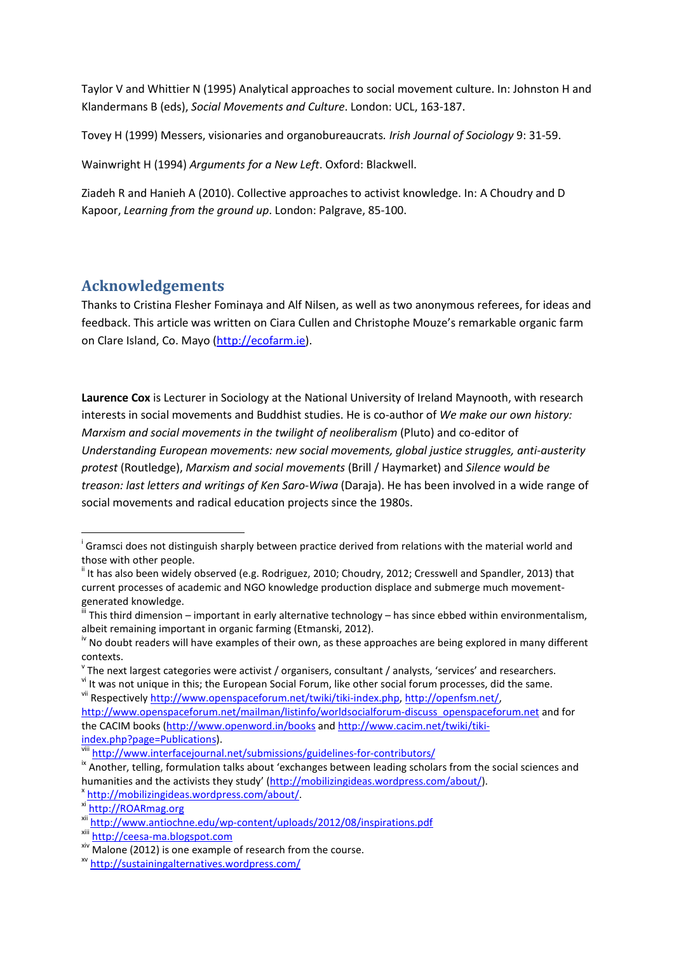Taylor V and Whittier N (1995) Analytical approaches to social movement culture. In: Johnston H and Klandermans B (eds), *Social Movements and Culture*. London: UCL, 163-187.

Tovey H (1999) Messers, visionaries and organobureaucrats*. Irish Journal of Sociology* 9: 31-59.

Wainwright H (1994) *Arguments for a New Left*. Oxford: Blackwell.

Ziadeh R and Hanieh A (2010). Collective approaches to activist knowledge. In: A Choudry and D Kapoor, *Learning from the ground up*. London: Palgrave, 85-100.

#### **Acknowledgements**

Thanks to Cristina Flesher Fominaya and Alf Nilsen, as well as two anonymous referees, for ideas and feedback. This article was written on Ciara Cullen and Christophe Mouze's remarkable organic farm on Clare Island, Co. Mayo [\(http://ecofarm.ie\)](http://ecofarm.ie/).

**Laurence Cox** is Lecturer in Sociology at the National University of Ireland Maynooth, with research interests in social movements and Buddhist studies. He is co-author of *We make our own history: Marxism and social movements in the twilight of neoliberalism* (Pluto) and co-editor of *Understanding European movements: new social movements, global justice struggles, anti-austerity protest* (Routledge), *Marxism and social movements* (Brill / Haymarket) and *Silence would be treason: last letters and writings of Ken Saro-Wiwa* (Daraja). He has been involved in a wide range of social movements and radical education projects since the 1980s.

<span id="page-17-0"></span>i <sup>i</sup> Gramsci does not distinguish sharply between practice derived from relations with the material world and those with other people.

<span id="page-17-1"></span><sup>&</sup>lt;sup>ii</sup> It has also been widely observed (e.g. Rodriguez, 2010; Choudry, 2012; Cresswell and Spandler, 2013) that current processes of academic and NGO knowledge production displace and submerge much movementgenerated knowledge.

<span id="page-17-2"></span> $\overline{1}$  This third dimension – important in early alternative technology – has since ebbed within environmentalism, albeit remaining important in organic farming (Etmanski, 2012).

<span id="page-17-3"></span><sup>&</sup>lt;sup>iv</sup> No doubt readers will have examples of their own, as these approaches are being explored in many different contexts.

<span id="page-17-5"></span><span id="page-17-4"></span><sup>&</sup>lt;sup>v</sup> The next largest categories were activist / organisers, consultant / analysts, 'services' and researchers.  $v_i$  it was not unique in this; the European Social Forum, like other social forum processes, did the same. vii Respectively [http://www.openspaceforum.net/twiki/tiki-index.php,](http://www.openspaceforum.net/twiki/tiki-index.php) [http://openfsm.net/,](http://openfsm.net/)

<span id="page-17-6"></span>[http://www.openspaceforum.net/mailman/listinfo/worldsocialforum-discuss\\_openspaceforum.net](http://www.openspaceforum.net/mailman/listinfo/worldsocialforum-discuss_openspaceforum.net) and for the CACIM books [\(http://www.openword.in/books](http://www.openword.in/books) an[d http://www.cacim.net/twiki/tiki-](http://www.cacim.net/twiki/tiki-index.php?page=Publications)

<span id="page-17-8"></span>

<span id="page-17-7"></span>[index.php?page=Publications\)](http://www.cacim.net/twiki/tiki-index.php?page=Publications).<br>viii <http://www.interfacejournal.net/submissions/guidelines-for-contributors/><br>ix Another, telling, formulation talks about 'exchanges between leading scholars from the social sciences and humanities and the activists they study' [\(http://mobilizingideas.wordpress.com/about/\)](http://mobilizingideas.wordpress.com/about/).<br><sup>x</sup> [http://mobilizingideas.wordpress.com/about/.](http://mobilizingideas.wordpress.com/about/)<br><sup>xi</sup> [http://ROARmag.org](http://roarmag.org/)

<span id="page-17-9"></span>

<span id="page-17-10"></span>

<span id="page-17-11"></span>xii <http://www.antiochne.edu/wp-content/uploads/2012/08/inspirations.pdf><br>xiii [http://ceesa-ma.blogspot.com](http://ceesa-ma.blogspot.com/)<br>xiv Malone (2012) is one example of research from the course.<br>xv <http://sustainingalternatives.wordpress.com/>

<span id="page-17-12"></span>

<span id="page-17-13"></span>

<span id="page-17-14"></span>